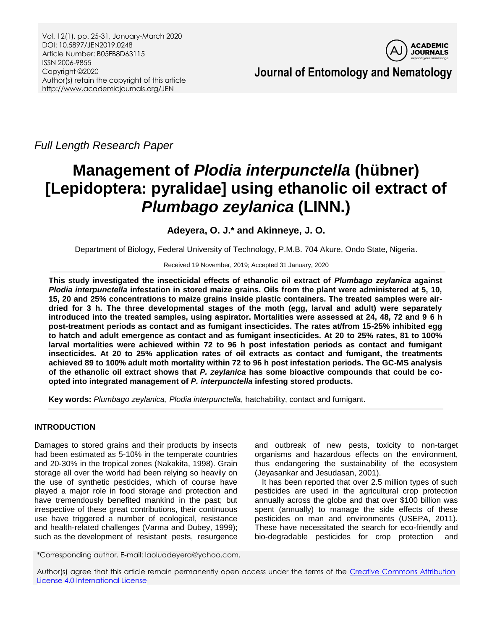

**Journal of Entomology and Nematology**

*Full Length Research Paper*

# **Management of** *Plodia interpunctella* **(hübner) [Lepidoptera: pyralidae] using ethanolic oil extract of**  *Plumbago zeylanica* **(LINN.)**

# **Adeyera, O. J.\* and Akinneye, J. O.**

Department of Biology, Federal University of Technology, P.M.B. 704 Akure, Ondo State, Nigeria.

Received 19 November, 2019; Accepted 31 January, 2020

**This study investigated the insecticidal effects of ethanolic oil extract of** *Plumbago zeylanica* **against**  *Plodia interpunctella* **infestation in stored maize grains. Oils from the plant were administered at 5, 10, 15, 20 and 25% concentrations to maize grains inside plastic containers. The treated samples were airdried for 3 h. The three developmental stages of the moth (egg, larval and adult) were separately introduced into the treated samples, using aspirator. Mortalities were assessed at 24, 48, 72 and 9 6 h post-treatment periods as contact and as fumigant insecticides. The rates at/from 15-25% inhibited egg to hatch and adult emergence as contact and as fumigant insecticides. At 20 to 25% rates, 81 to 100% larval mortalities were achieved within 72 to 96 h post infestation periods as contact and fumigant insecticides. At 20 to 25% application rates of oil extracts as contact and fumigant, the treatments achieved 89 to 100% adult moth mortality within 72 to 96 h post infestation periods. The GC-MS analysis of the ethanolic oil extract shows that** *P. zeylanica* **has some bioactive compounds that could be coopted into integrated management of** *P. interpunctella* **infesting stored products.**

**Key words:** *Plumbago zeylanica*, *Plodia interpunctella*, hatchability, contact and fumigant.

# **INTRODUCTION**

Damages to stored grains and their products by insects had been estimated as 5-10% in the temperate countries and 20-30% in the tropical zones (Nakakita, 1998). Grain storage all over the world had been relying so heavily on the use of synthetic pesticides, which of course have played a major role in food storage and protection and have tremendously benefited mankind in the past; but irrespective of these great contributions, their continuous use have triggered a number of ecological, resistance and health-related challenges (Varma and Dubey, 1999); such as the development of resistant pests, resurgence and outbreak of new pests, toxicity to non-target organisms and hazardous effects on the environment, thus endangering the sustainability of the ecosystem (Jeyasankar and Jesudasan, 2001).

It has been reported that over 2.5 million types of such pesticides are used in the agricultural crop protection annually across the globe and that over \$100 billion was spent (annually) to manage the side effects of these pesticides on man and environments (USEPA, 2011). These have necessitated the search for eco-friendly and bio-degradable pesticides for crop protection and

\*Corresponding author. E-mail: laoluadeyera@yahoo.com.

Author(s) agree that this article remain permanently open access under the terms of the Creative Commons Attribution [License 4.0 International License](http://creativecommons.org/licenses/by/4.0/deed.en_US)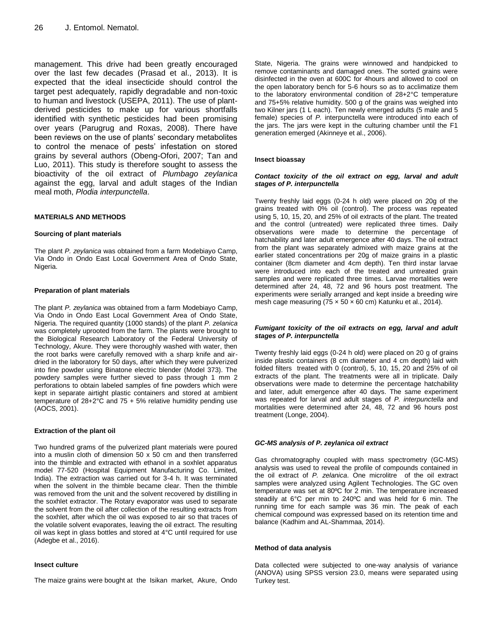management. This drive had been greatly encouraged over the last few decades (Prasad et al., 2013). It is expected that the ideal insecticide should control the target pest adequately, rapidly degradable and non-toxic to human and livestock (USEPA, 2011). The use of plantderived pesticides to make up for various shortfalls identified with synthetic pesticides had been promising over years (Parugrug and Roxas, 2008). There have been reviews on the use of plants' secondary metabolites to control the menace of pests' infestation on stored grains by several authors (Obeng-Ofori, 2007; Tan and Luo, 2011). This study is therefore sought to assess the bioactivity of the oil extract of *Plumbago zeylanica*  against the egg, larval and adult stages of the Indian meal moth, *Plodia interpunctella*.

## **MATERIALS AND METHODS**

#### **Sourcing of plant materials**

The plant *P. zeylanica* was obtained from a farm Modebiayo Camp, Via Ondo in Ondo East Local Government Area of Ondo State, Nigeria.

#### **Preparation of plant materials**

The plant *P. zeylanica* was obtained from a farm Modebiayo Camp, Via Ondo in Ondo East Local Government Area of Ondo State, Nigeria. The required quantity (1000 stands) of the plant *P. zelanica* was completely uprooted from the farm. The plants were brought to the Biological Research Laboratory of the Federal University of Technology, Akure. They were thoroughly washed with water, then the root barks were carefully removed with a sharp knife and airdried in the laboratory for 50 days, after which they were pulverized into fine powder using Binatone electric blender (Model 373). The powdery samples were further sieved to pass through 1 mm 2 perforations to obtain labeled samples of fine powders which were kept in separate airtight plastic containers and stored at ambient temperature of  $28+2$ °C and  $75 + 5$ % relative humidity pending use (AOCS, 2001).

## **Extraction of the plant oil**

Two hundred grams of the pulverized plant materials were poured into a muslin cloth of dimension 50 x 50 cm and then transferred into the thimble and extracted with ethanol in a soxhlet apparatus model 77-520 (Hospital Equipment Manufacturing Co. Limited, India). The extraction was carried out for 3-4 h. It was terminated when the solvent in the thimble became clear. Then the thimble was removed from the unit and the solvent recovered by distilling in the soxhlet extractor. The Rotary evaporator was used to separate the solvent from the oil after collection of the resulting extracts from the soxhlet, after which the oil was exposed to air so that traces of the volatile solvent evaporates, leaving the oil extract. The resulting oil was kept in glass bottles and stored at 4°C until required for use (Adegbe et al., 2016).

#### **Insect culture**

The maize grains were bought at the Isikan market, Akure, Ondo

State, Nigeria. The grains were winnowed and handpicked to remove contaminants and damaged ones. The sorted grains were disinfected in the oven at 600C for 4hours and allowed to cool on the open laboratory bench for 5-6 hours so as to acclimatize them to the laboratory environmental condition of 28+2°C temperature and 75+5% relative humidity. 500 g of the grains was weighed into two Kilner jars (1 L each). Ten newly emerged adults (5 male and 5 female) species of *P.* interpunctella were introduced into each of the jars. The jars were kept in the culturing chamber until the F1 generation emerged (Akinneye et al., 2006).

#### **Insect bioassay**

#### *Contact toxicity of the oil extract on egg, larval and adult stages of P. interpunctella*

Twenty freshly laid eggs (0-24 h old) were placed on 20g of the grains treated with 0% oil (control). The process was repeated using 5, 10, 15, 20, and 25% of oil extracts of the plant. The treated and the control (untreated) were replicated three times. Daily observations were made to determine the percentage of hatchability and later adult emergence after 40 days. The oil extract from the plant was separately admixed with maize grains at the earlier stated concentrations per 20g of maize grains in a plastic container (8cm diameter and 4cm depth). Ten third instar larvae were introduced into each of the treated and untreated grain samples and were replicated three times. Larvae mortalities were determined after 24, 48, 72 and 96 hours post treatment. The experiments were serially arranged and kept inside a breeding wire mesh cage measuring (75  $\times$  50  $\times$  60 cm) Katunku et al., 2014).

#### *Fumigant toxicity of the oil extracts on egg, larval and adult stages of P. interpunctella*

Twenty freshly laid eggs (0-24 h old) were placed on 20 g of grains inside plastic containers (8 cm diameter and 4 cm depth) laid with folded filters treated with 0 (control), 5, 10, 15, 20 and 25% of oil extracts of the plant. The treatments were all in triplicate. Daily observations were made to determine the percentage hatchability and later, adult emergence after 40 days. The same experiment was repeated for larval and adult stages of *P. interpunctella* and mortalities were determined after 24, 48, 72 and 96 hours post treatment (Longe, 2004).

#### *GC-MS analysis of P. zeylanica oil extract*

Gas chromatography coupled with mass spectrometry (GC-MS) analysis was used to reveal the profile of compounds contained in the oil extract of *P. zelanica*. One microlitre of the oil extract samples were analyzed using Agilent Technologies. The GC oven temperature was set at 80ºC for 2 min. The temperature increased steadily at 6°C per min to 240ºC and was held for 6 min. The running time for each sample was 36 min. The peak of each chemical compound was expressed based on its retention time and balance (Kadhim and AL-Shammaa, 2014).

#### **Method of data analysis**

Data collected were subjected to one-way analysis of variance (ANOVA) using SPSS version 23.0, means were separated using Turkey test.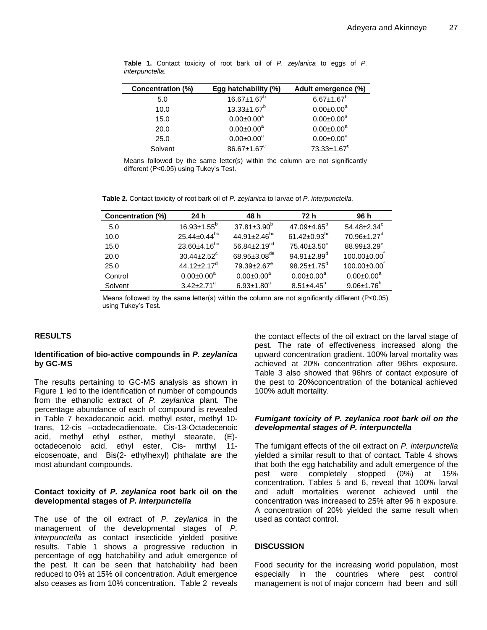| Concentration (%) | Egg hatchability (%) | Adult emergence (%)     |
|-------------------|----------------------|-------------------------|
| 5.0               | $16.67 \pm 1.67^b$   | $6.67 \pm 1.67^b$       |
| 10.0              | $13.33 \pm 1.67^b$   | $0.00 \pm 0.00^a$       |
| 15.0              | $0.00 \pm 0.00^a$    | $0.00 \pm 0.00^a$       |
| 20.0              | $0.00 \pm 0.00^a$    | $0.00 \pm 0.00^a$       |
| 25.0              | $0.00 \pm 0.00^a$    | $0.00 \pm 0.00^a$       |
| Solvent           | 86.67±1.67°          | 73.33±1.67 <sup>c</sup> |

**Table 1.** Contact toxicity of root bark oil of *P. zeylanica* to eggs of *P. interpunctella.*

Means followed by the same letter(s) within the column are not significantly different (P˂0.05) using Tukey's Test.

**Table 2.** Contact toxicity of root bark oil of *P. zeylanica* to larvae of *P. interpunctella.*

| Concentration (%) | 24 h                                            | 48 h                           | 72 h                                            | 96 h                           |
|-------------------|-------------------------------------------------|--------------------------------|-------------------------------------------------|--------------------------------|
| 5.0               | $16.93 \pm 1.55^{\circ}$                        | $37.81 \pm 3.90^{\circ}$       | $47.09 \pm 4.65^{\circ}$                        | $54.48 \pm 2.34^c$             |
| 10.0              | $25.44 \pm 0.44$ <sup>bc</sup>                  | $44.91 \pm 2.46$ <sup>bc</sup> | 61.42 $\pm$ 0.93 <sup>bc</sup>                  | $70.96 \pm 1.27$ <sup>d</sup>  |
| 15.0              | $23.60 \pm 4.16$ <sup>bc</sup>                  | 56.84 $\pm$ 2.19 <sup>cd</sup> | $75.40 \pm 3.50^{\circ}$                        | 88.99±3.29 <sup>e</sup>        |
| 20.0              | $30.44 \pm 2.52^{\circ}$                        | $68.95 \pm 3.08$ <sup>de</sup> | 94.91 $\pm$ 2.89 <sup><math>\sigma</math></sup> | $100.00 \pm 0.00$ <sup>t</sup> |
| 25.0              | 44.12 $\pm$ 2.17 <sup><math>\sigma</math></sup> | $79.39 \pm 2.67$ <sup>e</sup>  | $98.25 \pm 1.75^{\circ}$                        | $100.00 \pm 0.00$ <sup>t</sup> |
| Control           | $0.00 \pm 0.00^a$                               | $0.00 \pm 0.00^a$              | $0.00 \pm 0.00^a$                               | $0.00 \pm 0.00^a$              |
| Solvent           | $3.42 + 2.71$ <sup>a</sup>                      | $6.93 \pm 1.80$ <sup>a</sup>   | $8.51 \pm 4.45$ <sup>a</sup>                    | $9.06 \pm 1.76$ <sup>b</sup>   |

Means followed by the same letter(s) within the column are not significantly different ( $P < 0.05$ ) using Tukey's Test.

# **RESULTS**

## **Identification of bio-active compounds in** *P. zeylanica* **by GC-MS**

The results pertaining to GC-MS analysis as shown in Figure 1 led to the identification of number of compounds from the ethanolic extract of *P. zeylanica* plant. The percentage abundance of each of compound is revealed in Table 7 hexadecanoic acid. methyl ester, methyl 10 trans, 12-cis –octadecadienoate, Cis-13-Octadecenoic acid, methyl ethyl esther, methyl stearate, (E) octadecenoic acid, ethyl ester, Cis- mrthyl 11 eicosenoate, and Bis(2- ethylhexyl) phthalate are the most abundant compounds.

# **Contact toxicity of** *P. zeylanica* **root bark oil on the developmental stages of** *P. interpunctella*

The use of the oil extract of *P. zeylanica* in the management of the developmental stages of *P. interpunctella* as contact insecticide yielded positive results. Table 1 shows a progressive reduction in percentage of egg hatchability and adult emergence of the pest. It can be seen that hatchability had been reduced to 0% at 15% oil concentration. Adult emergence also ceases as from 10% concentration. Table 2 reveals the contact effects of the oil extract on the larval stage of pest. The rate of effectiveness increased along the upward concentration gradient. 100% larval mortality was achieved at 20% concentration after 96hrs exposure. Table 3 also showed that 96hrs of contact exposure of the pest to 20%concentration of the botanical achieved 100% adult mortality.

# *Fumigant toxicity of P. zeylanica root bark oil on the developmental stages of P. interpunctella*

The fumigant effects of the oil extract on *P. interpunctella* yielded a similar result to that of contact. Table 4 shows that both the egg hatchability and adult emergence of the pest were completely stopped (0%) at 15% concentration. Tables 5 and 6, reveal that 100% larval and adult mortalities werenot achieved until the concentration was increased to 25% after 96 h exposure. A concentration of 20% yielded the same result when used as contact control.

# **DISCUSSION**

Food security for the increasing world population, most especially in the countries where pest control management is not of major concern had been and still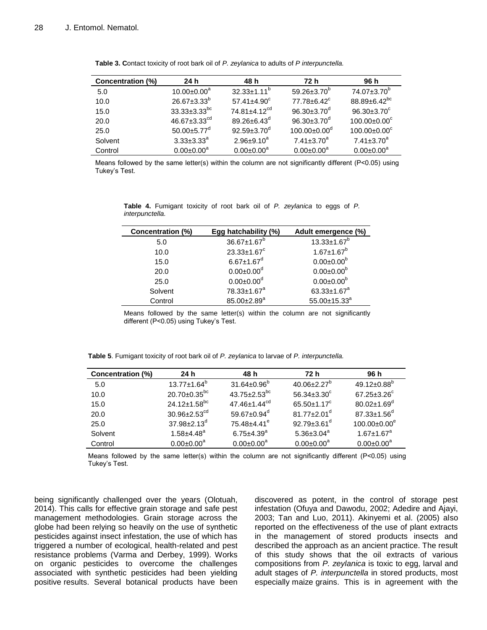| Concentration (%) | 24 h                           | 48 h                           | 72 h                           | 96 h                           |
|-------------------|--------------------------------|--------------------------------|--------------------------------|--------------------------------|
| 5.0               | $10.00 \pm 0.00^a$             | $32.33 \pm 1.11^{\circ}$       | $59.26 \pm 3.70^{\circ}$       | $74.07 \pm 3.70^b$             |
| 10.0              | $26.67 \pm 3.33^b$             | $57.41 \pm 4.90$ <sup>c</sup>  | $77.78 \pm 6.42$ <sup>c</sup>  | $88.89 \pm 6.42$ <sup>bc</sup> |
| 15.0              | $33.33 \pm 3.33$ <sup>bc</sup> | $74.81 \pm 4.12$ <sup>cd</sup> | 96.30 $\pm$ 3.70 <sup>d</sup>  | $96.30 \pm 3.70^{\circ}$       |
| 20.0              | 46.67 $\pm$ 3.33 $^{cd}$       | 89.26 $\pm$ 6.43 <sup>d</sup>  | $96.30 \pm 3.70^{\circ}$       | $100.00 \pm 0.00^{\circ}$      |
| 25.0              | $50.00 \pm 5.77$ <sup>d</sup>  | $92.59 \pm 3.70^{\circ}$       | $100.00 \pm 0.00$ <sup>d</sup> | $100.00 \pm 0.00^{\circ}$      |
| Solvent           | $3.33 \pm 3.33^a$              | $2.96 \pm 9.10^a$              | $7.41 \pm 3.70^a$              | $7.41 \pm 3.70^a$              |
| Control           | $0.00 \pm 0.00^a$              | $0.00 \pm 0.00^a$              | $0.00 \pm 0.00^a$              | $0.00 \pm 0.00^a$              |

**Table 3. C**ontact toxicity of root bark oil of *P. zeylanica* to adults of *P interpunctella.*

Means followed by the same letter(s) within the column are not significantly different (P˂0.05) using Tukey's Test.

| Concentration (%) | Egg hatchability (%)          | Adult emergence (%)          |
|-------------------|-------------------------------|------------------------------|
| 5.0               | $36.67 \pm 1.67^b$            | $13.33 \pm 1.67^b$           |
| 10.0              | $23.33 \pm 1.67$ <sup>c</sup> | $1.67 \pm 1.67$ <sup>b</sup> |
| 15.0              | $6.67 \pm 1.67$ <sup>d</sup>  | $0.00 \pm 0.00^b$            |
| 20.0              | $0.00 \pm 0.00$ <sup>d</sup>  | $0.00 \pm 0.00^b$            |
| 25.0              | $0.00 \pm 0.00$ <sup>d</sup>  | $0.00 \pm 0.00^b$            |
| Solvent           | 78.33±1.67 <sup>a</sup>       | 63.33 $\pm$ 1.67 $^{a}$      |
| Control           | 85.00±2.89 <sup>a</sup>       | $55.00 \pm 15.33^a$          |

**Table 4.** Fumigant toxicity of root bark oil of *P. zeylanica* to eggs of *P. interpunctella.*

Means followed by the same letter(s) within the column are not significantly different (P˂0.05) using Tukey's Test.

| Table 5. Fumigant toxicity of root bark oil of P. zeylanica to larvae of P. interpunctella. |  |  |  |
|---------------------------------------------------------------------------------------------|--|--|--|
|                                                                                             |  |  |  |

| Concentration (%) | 24 h                           | 48 h                           | 72 h                          | 96 h                          |
|-------------------|--------------------------------|--------------------------------|-------------------------------|-------------------------------|
| 5.0               | $13.77 \pm 1.64^b$             | $31.64 \pm 0.96^{\circ}$       | $40.06 \pm 2.27^b$            | $49.12 \pm 0.88$ <sup>b</sup> |
| 10.0              | $20.70 \pm 0.35$ <sup>bc</sup> | $43.75 \pm 2.53$ <sup>bc</sup> | $56.34 \pm 3.30^{\circ}$      | $67.25 \pm 3.26$ <sup>c</sup> |
| 15.0              | $24.12 \pm 1.58$ <sup>bc</sup> | $47.46 \pm 1.44$ <sup>cd</sup> | $65.50 \pm 1.17^c$            | $80.02 \pm 1.69$ <sup>d</sup> |
| 20.0              | $30.96 \pm 2.53$ <sup>cd</sup> | 59.67 $\pm$ 0.94 <sup>d</sup>  | $81.77 \pm 2.01$ <sup>d</sup> | $87.33 \pm 1.56$ <sup>d</sup> |
| 25.0              | $37.98 \pm 2.13$ <sup>d</sup>  | $75.48 \pm 4.41$ <sup>e</sup>  | 92.79 $\pm$ 3.61 <sup>d</sup> | $100.00 \pm 0.00^e$           |
| Solvent           | $1.58 + 4.48^a$                | $6.75 \pm 4.39$ <sup>a</sup>   | 5.36 $\pm$ 3.04 $^{a}$        | $1.67 \pm 1.67$ <sup>a</sup>  |
| Control           | $0.00 \pm 0.00^a$              | $0.00 \pm 0.00^a$              | $0.00 \pm 0.00^a$             | $0.00 \pm 0.00^a$             |

Means followed by the same letter(s) within the column are not significantly different (P<0.05) using Tukey's Test.

being significantly challenged over the years (Olotuah, 2014). This calls for effective grain storage and safe pest management methodologies. Grain storage across the globe had been relying so heavily on the use of synthetic pesticides against insect infestation, the use of which has triggered a number of ecological, health-related and pest resistance problems (Varma and Derbey, 1999). Works on organic pesticides to overcome the challenges associated with synthetic pesticides had been yielding positive results. Several botanical products have been

discovered as potent, in the control of storage pest infestation (Ofuya and Dawodu, 2002; Adedire and Ajayi, 2003; Tan and Luo, 2011). Akinyemi et al. (2005) also reported on the effectiveness of the use of plant extracts in the management of stored products insects and described the approach as an ancient practice. The result of this study shows that the oil extracts of various compositions from *P. zeylanica* is toxic to egg, larval and adult stages of *P. interpunctella* in stored products, most especially maize grains. This is in agreement with the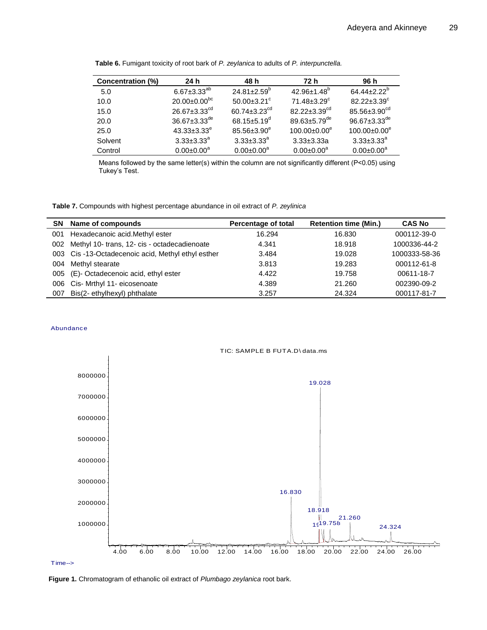| Concentration (%) | 24 h                           | 48 h                           | 72 h                           | 96 h                           |
|-------------------|--------------------------------|--------------------------------|--------------------------------|--------------------------------|
| 5.0               | $6.67 \pm 3.33^{ab}$           | $24.81 \pm 2.59^{\circ}$       | $42.96 \pm 1.48$ <sup>b</sup>  | $64.44 \pm 2.22^b$             |
| 10.0              | $20.00 \pm 0.00^{bc}$          | $50.00 \pm 3.21$ <sup>c</sup>  | $71.48 \pm 3.29$ <sup>c</sup>  | $82.22 \pm 3.39$ <sup>c</sup>  |
| 15.0              | $26.67 \pm 3.33$ <sup>cd</sup> | $60.74 \pm 3.23$ <sup>cd</sup> | $82.22 \pm 3.39$ <sup>cd</sup> | 85.56±3.90 <sup>cd</sup>       |
| 20.0              | $36.67 \pm 3.33$ <sup>de</sup> | 68.15 $\pm$ 5.19 $^{\circ}$    | 89.63 $\pm$ 5.79 <sup>de</sup> | $96.67 \pm 3.33$ <sup>de</sup> |
| 25.0              | $43.33 \pm 3.33^e$             | $85.56 \pm 3.90^e$             | $100.00 \pm 0.00^e$            | $100.00 \pm 0.00^e$            |
| Solvent           | $3.33 \pm 3.33^{\circ}$        | $3.33 \pm 3.33^{\circ}$        | $3.33 \pm 3.33a$               | $3.33 \pm 3.33^{\circ}$        |
| Control           | $0.00 \pm 0.00^a$              | $0.00 \pm 0.00^a$              | $0.00 \pm 0.00^a$              | $0.00 \pm 0.00^a$              |

**Table 6.** Fumigant toxicity of root bark of *P. zeylanica* to adults of *P. interpunctella.*

Means followed by the same letter(s) within the column are not significantly different (P<0.05) using Tukey's Test.

**Table 7.** Compounds with highest percentage abundance in oil extract of *P. zeylinica*

|     | SN Name of compounds                              | <b>Percentage of total</b> | <b>Retention time (Min.)</b> | <b>CAS No</b> |
|-----|---------------------------------------------------|----------------------------|------------------------------|---------------|
| 001 | Hexadecanoic acid. Methyl ester                   | 16.294                     | 16.830                       | 000112-39-0   |
|     | 002 Methyl 10- trans, 12- cis - octadecadienoate  | 4.341                      | 18.918                       | 1000336-44-2  |
|     | 003 Cis-13-Octadecenoic acid, Methyl ethyl esther | 3.484                      | 19.028                       | 1000333-58-36 |
|     | 004 Methyl stearate                               | 3.813                      | 19.283                       | 000112-61-8   |
|     | 005 (E)- Octadecenoic acid, ethyl ester           | 4.422                      | 19.758                       | 00611-18-7    |
|     | 006 Cis- Mrthyl 11- eicosenoate                   | 4.389                      | 21.260                       | 002390-09-2   |
| 007 | Bis(2- ethylhexyl) phthalate                      | 3.257                      | 24.324                       | 000117-81-7   |

## Abundance



Time-->

**Figure 1.** Chromatogram of ethanolic oil extract of *Plumbago zeylanica* root bark.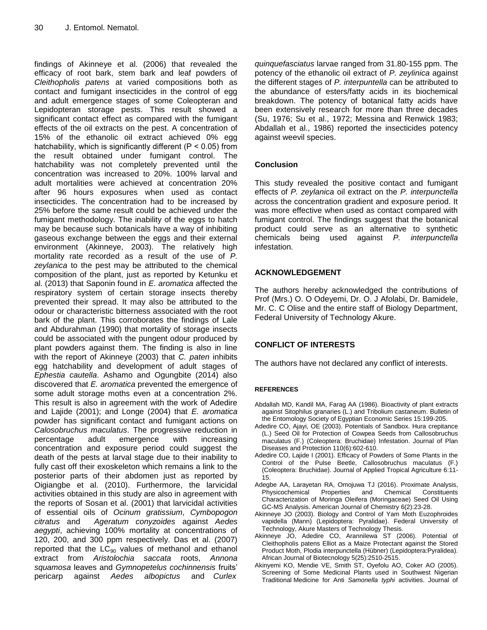findings of Akinneye et al. (2006) that revealed the efficacy of root bark, stem bark and leaf powders of *Cleithopholis patens* at varied compositions both as contact and fumigant insecticides in the control of egg and adult emergence stages of some Coleopteran and Lepidopteran storage pests. This result showed a significant contact effect as compared with the fumigant effects of the oil extracts on the pest. A concentration of 15% of the ethanolic oil extract achieved 0% egg hatchability, which is significantly different ( $P < 0.05$ ) from the result obtained under fumigant control. The hatchability was not completely prevented until the concentration was increased to 20%. 100% larval and adult mortalities were achieved at concentration 20% after 96 hours exposures when used as contact insecticides. The concentration had to be increased by 25% before the same result could be achieved under the fumigant methodology. The inability of the eggs to hatch may be because such botanicals have a way of inhibiting gaseous exchange between the eggs and their external environment (Akinneye, 2003). The relatively high mortality rate recorded as a result of the use of *P. zeylanica* to the pest may be attributed to the chemical composition of the plant, just as reported by Ketunku et al. (2013) that Saponin found in *E. aromatica* affected the respiratory system of certain storage insects thereby prevented their spread. It may also be attributed to the odour or characteristic bitterness associated with the root bark of the plant. This corroborates the findings of Lale and Abdurahman (1990) that mortality of storage insects could be associated with the pungent odour produced by plant powders against them. The finding is also in line with the report of Akinneye (2003) that *C. paten* inhibits egg hatchability and development of adult stages of *Ephestia cautella*. Ashamo and Ogungbite (2014) also discovered that *E. aromatica* prevented the emergence of some adult storage moths even at a concentration 2%. This result is also in agreement with the work of Adedire and Lajide (2001); and Longe (2004) that *E. aromatica*  powder has significant contact and fumigant actions on *Calosobruchus maculatus*. The progressive reduction in percentage adult emergence with increasing concentration and exposure period could suggest the death of the pests at larval stage due to their inability to fully cast off their exoskeleton which remains a link to the posterior parts of their abdomen just as reported by Oigiangbe et al. (2010). Furthermore, the larvicidal activities obtained in this study are also in agreement with the reports of Sosan et al. (2001) that larvicidal activities of essential oils of *Ocinum gratissium*, *Cymbopogon citratus* and *Ageratum conyzoides* against *Aedes aegypti*, achieving 100% mortality at concentrations of 120, 200, and 300 ppm respectively. Das et al. (2007) reported that the  $LC_{90}$  values of methanol and ethanol extract from *Aristolochia saccata* roots, *Annona squamosa* leaves and *Gymnopetelus cochinnensis* fruits' pericarp against *Aedes albopictus* and *Curlex* 

*quinquefasciatus* larvae ranged from 31.80-155 ppm. The potency of the ethanolic oil extract of *P. zeylinica* against the different stages of *P. interpuntella* can be attributed to the abundance of esters/fatty acids in its biochemical breakdown. The potency of botanical fatty acids have been extensively research for more than three decades (Su, 1976; Su et al., 1972; Messina and Renwick 1983; Abdallah et al., 1986) reported the insecticides potency against weevil species.

# **Conclusion**

This study revealed the positive contact and fumigant effects of *P. zeylanica* oil extract on the *P. interpunctella* across the concentration gradient and exposure period. It was more effective when used as contact compared with fumigant control. The findings suggest that the botanical product could serve as an alternative to synthetic chemicals being used against *P. interpunctella* infestation.

# **ACKNOWLEDGEMENT**

The authors hereby acknowledged the contributions of Prof (Mrs.) O. O Odeyemi, Dr. O. J Afolabi, Dr. Bamidele, Mr. C. C Olise and the entire staff of Biology Department, Federal University of Technology Akure.

# **CONFLICT OF INTERESTS**

The authors have not declared any conflict of interests.

# **REFERENCES**

- Abdallah MD, Kandil MA, Farag AA (1986). Bioactivity of plant extracts against Sitophilus granaries (L.) and Tribolium castaneum. Bulletin of the Entomology Society of Egyptian Economic Series 15:199-205.
- Adedire CO, Ajayi, OE (2003). Potentials of Sandbox. Hura crepitance (L.) Seed Oil for Protection of Cowpea Seeds from Callosobruchus maculatus (F.) (Coleoptera: Bruchidae) Infestation. Journal of Plan Diseases and Protection 110(6):602-610.
- Adedire CO, Lajide I (2001). Efficacy of Powders of Some Plants in the Control of the Pulse Beetle, Callosobruchus maculatus (F.) (Coleoptera: Bruchidae). Journal of Applied Tropical Agriculture 6:11- 15.
- Adegbe AA, Larayetan RA, Omojuwa TJ (2016). Proximate Analysis, Physicochemical Properties and Chemical Constituents Characterization of Moringa Oleifera (Moringaceae) Seed Oil Using GC-MS Analysis. American Journal of Chemistry 6(2):23-28.
- Akinneye JO (2003). Biology and Control of Yam Moth Euzophroides vapidella (Mann) (Lepidoptera: Pyralidae). Federal University of Technology, Akure Masters of Technology Thesis.
- Akinneye JO, Adedire CO, Arannilewa ST (2006). Potential of Cleithopholis patens Elliot as a Maize Protectant against the Stored Product Moth, Plodia interpunctella (Hübner) (Lepidoptera:Pyralidea). African Journal of Biotecnology 5(25):2510-2515.
- Akinyemi KO, Mendie VE, Smith ST, Oyefolu AO, Coker AO (2005). Screening of Some Medicinal Plants used in Southwest Nigerian Traditional Medicine for Anti *Samonella typhi* activities. Journal of